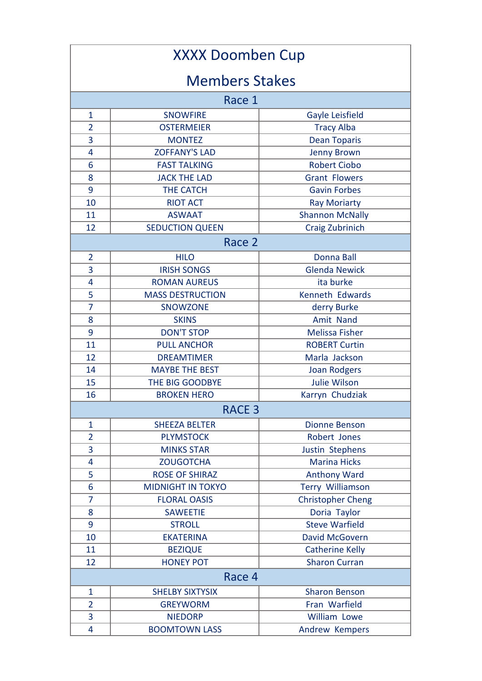| <b>XXXX Doomben Cup</b> |                          |                          |  |  |
|-------------------------|--------------------------|--------------------------|--|--|
| <b>Members Stakes</b>   |                          |                          |  |  |
| Race 1                  |                          |                          |  |  |
| $\mathbf{1}$            | <b>SNOWFIRE</b>          | Gayle Leisfield          |  |  |
| $\overline{2}$          | <b>OSTERMEIER</b>        | <b>Tracy Alba</b>        |  |  |
| 3                       | <b>MONTEZ</b>            | <b>Dean Toparis</b>      |  |  |
| 4                       | <b>ZOFFANY'S LAD</b>     | <b>Jenny Brown</b>       |  |  |
| 6                       | <b>FAST TALKING</b>      | <b>Robert Ciobo</b>      |  |  |
| 8                       | <b>JACK THE LAD</b>      | <b>Grant Flowers</b>     |  |  |
| 9                       | <b>THE CATCH</b>         | <b>Gavin Forbes</b>      |  |  |
| 10                      | <b>RIOT ACT</b>          | <b>Ray Moriarty</b>      |  |  |
| 11                      | <b>ASWAAT</b>            | <b>Shannon McNally</b>   |  |  |
| 12                      | <b>SEDUCTION QUEEN</b>   | Craig Zubrinich          |  |  |
| Race 2                  |                          |                          |  |  |
| $\overline{2}$          | <b>HILO</b>              | Donna Ball               |  |  |
| 3                       | <b>IRISH SONGS</b>       | <b>Glenda Newick</b>     |  |  |
| 4                       | <b>ROMAN AUREUS</b>      | ita burke                |  |  |
| 5                       | <b>MASS DESTRUCTION</b>  | Kenneth Edwards          |  |  |
| 7                       | <b>SNOWZONE</b>          | derry Burke              |  |  |
| 8                       | <b>SKINS</b>             | Amit Nand                |  |  |
| 9                       | <b>DON'T STOP</b>        | <b>Melissa Fisher</b>    |  |  |
| 11                      | <b>PULL ANCHOR</b>       | <b>ROBERT Curtin</b>     |  |  |
| 12                      | <b>DREAMTIMER</b>        | Marla Jackson            |  |  |
| 14                      | <b>MAYBE THE BEST</b>    | <b>Joan Rodgers</b>      |  |  |
| 15                      | THE BIG GOODBYE          | <b>Julie Wilson</b>      |  |  |
| 16                      | <b>BROKEN HERO</b>       | Karryn Chudziak          |  |  |
|                         | <b>RACE 3</b>            |                          |  |  |
| $\mathbf{1}$            | <b>SHEEZA BELTER</b>     | <b>Dionne Benson</b>     |  |  |
| $\overline{2}$          | <b>PLYMSTOCK</b>         | Robert Jones             |  |  |
| 3                       | <b>MINKS STAR</b>        | Justin Stephens          |  |  |
| 4                       | <b>ZOUGOTCHA</b>         | <b>Marina Hicks</b>      |  |  |
| 5                       | <b>ROSE OF SHIRAZ</b>    | <b>Anthony Ward</b>      |  |  |
| 6                       | <b>MIDNIGHT IN TOKYO</b> | <b>Terry Williamson</b>  |  |  |
| 7                       | <b>FLORAL OASIS</b>      | <b>Christopher Cheng</b> |  |  |
| 8                       | <b>SAWEETIE</b>          | Doria Taylor             |  |  |
| 9                       | <b>STROLL</b>            | <b>Steve Warfield</b>    |  |  |
| 10                      | <b>EKATERINA</b>         | <b>David McGovern</b>    |  |  |
| 11                      | <b>BEZIQUE</b>           | <b>Catherine Kelly</b>   |  |  |
| 12                      | <b>HONEY POT</b>         | <b>Sharon Curran</b>     |  |  |
| Race 4                  |                          |                          |  |  |
| 1                       | <b>SHELBY SIXTYSIX</b>   | <b>Sharon Benson</b>     |  |  |
| $\overline{2}$          | <b>GREYWORM</b>          | Fran Warfield            |  |  |
| 3                       | <b>NIEDORP</b>           | William Lowe             |  |  |
| 4                       | <b>BOOMTOWN LASS</b>     | Andrew Kempers           |  |  |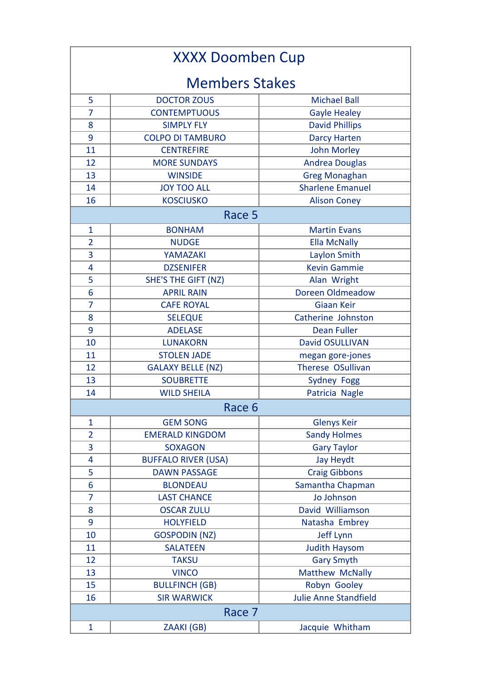| <b>XXXX Doomben Cup</b> |                            |                              |  |  |
|-------------------------|----------------------------|------------------------------|--|--|
| <b>Members Stakes</b>   |                            |                              |  |  |
| 5                       | <b>DOCTOR ZOUS</b>         | <b>Michael Ball</b>          |  |  |
| 7                       | <b>CONTEMPTUOUS</b>        | <b>Gayle Healey</b>          |  |  |
| 8                       | <b>SIMPLY FLY</b>          | <b>David Phillips</b>        |  |  |
| 9                       | <b>COLPO DI TAMBURO</b>    | <b>Darcy Harten</b>          |  |  |
| 11                      | <b>CENTREFIRE</b>          | <b>John Morley</b>           |  |  |
| 12                      | <b>MORE SUNDAYS</b>        | <b>Andrea Douglas</b>        |  |  |
| 13                      | <b>WINSIDE</b>             | <b>Greg Monaghan</b>         |  |  |
| 14                      | <b>JOY TOO ALL</b>         | <b>Sharlene Emanuel</b>      |  |  |
| 16                      | <b>KOSCIUSKO</b>           | <b>Alison Coney</b>          |  |  |
| Race 5                  |                            |                              |  |  |
| 1                       | <b>BONHAM</b>              | <b>Martin Evans</b>          |  |  |
| $\overline{2}$          | <b>NUDGE</b>               | <b>Ella McNally</b>          |  |  |
| 3                       | YAMAZAKI                   | Laylon Smith                 |  |  |
| 4                       | <b>DZSENIFER</b>           | <b>Kevin Gammie</b>          |  |  |
| 5                       | SHE'S THE GIFT (NZ)        | Alan Wright                  |  |  |
| 6                       | <b>APRIL RAIN</b>          | Doreen Oldmeadow             |  |  |
| $\overline{7}$          | <b>CAFE ROYAL</b>          | Giaan Keir                   |  |  |
| 8                       | <b>SELEQUE</b>             | Catherine Johnston           |  |  |
| 9                       | <b>ADELASE</b>             | <b>Dean Fuller</b>           |  |  |
| 10                      | <b>LUNAKORN</b>            | <b>David OSULLIVAN</b>       |  |  |
| 11                      | <b>STOLEN JADE</b>         | megan gore-jones             |  |  |
| 12                      | <b>GALAXY BELLE (NZ)</b>   | Therese OSullivan            |  |  |
| 13                      | <b>SOUBRETTE</b>           | Sydney Fogg                  |  |  |
| 14                      | <b>WILD SHEILA</b>         | Patricia Nagle               |  |  |
|                         | Race 6                     |                              |  |  |
| $\mathbf{1}$            | <b>GEM SONG</b>            | <b>Glenys Keir</b>           |  |  |
| $\overline{2}$          | <b>EMERALD KINGDOM</b>     | <b>Sandy Holmes</b>          |  |  |
| 3                       | <b>SOXAGON</b>             | <b>Gary Taylor</b>           |  |  |
| 4                       | <b>BUFFALO RIVER (USA)</b> | Jay Heydt                    |  |  |
| 5                       | <b>DAWN PASSAGE</b>        | <b>Craig Gibbons</b>         |  |  |
| 6                       | <b>BLONDEAU</b>            | Samantha Chapman             |  |  |
| 7                       | <b>LAST CHANCE</b>         | Jo Johnson                   |  |  |
| 8                       | <b>OSCAR ZULU</b>          | David Williamson             |  |  |
| 9                       | <b>HOLYFIELD</b>           | Natasha Embrey               |  |  |
| 10                      | <b>GOSPODIN (NZ)</b>       | Jeff Lynn                    |  |  |
| 11                      | <b>SALATEEN</b>            | <b>Judith Haysom</b>         |  |  |
| 12                      | <b>TAKSU</b>               | <b>Gary Smyth</b>            |  |  |
| 13                      | <b>VINCO</b>               | Matthew McNally              |  |  |
| 15                      | <b>BULLFINCH (GB)</b>      | Robyn Gooley                 |  |  |
| 16                      | <b>SIR WARWICK</b>         | <b>Julie Anne Standfield</b> |  |  |
| Race 7                  |                            |                              |  |  |
| $\mathbf{1}$            | ZAAKI (GB)                 | Jacquie Whitham              |  |  |